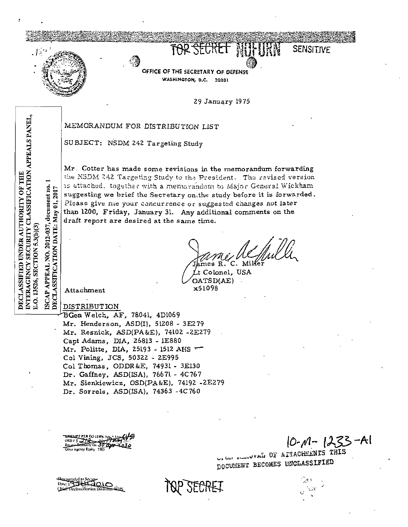

OFFICE OF THE SECRETARY OF DEFENSE WASHINGTON, D.C. 20301

29 January 1975

TOR SECRET NOTIFIER

**SENSITIVE** 

MEMORANDUM FOR DISTRIBUTION LIST

SUBJECT: NSDM 242 Targeting Study

Mr. Cotter has made some revisions in the memorandum forwarding the NSDM 242 Targeting Study to the President. The revised version is attached,together with a memorandum to Major General Wickham suggesting we brief the Secretary on the study before it is forwarded. Please give me your concurrence or suggested changes not later than 1200, Friday, January 31. Any additional comments on the draft report are desired at the same time.

t Colonel, USA

OATSD(AE) x51098

Attachment

**DISTRIBUTION** 

BGen Welch, AF, 78041, 4D1069 Mr. Henderson, ASD(I), 51208 - 3E279 Mr. Resnick, ASD(PA&E), 74102 -2E279 Capt Adams, DIA, 26813 - 1E880 Mr. Politte, DIA, 25193 - 1512 AHS Col Vining, JCS, 50322 - 2E995 Col Thomas, ODDR&E, 74931 - 3E130 Dr. Gaffney, ASD(ISA), 76671 - 4C767 Mr. Sienkiewicz, OSD(PA&E), 74192 -2E279 Dr. Sorrels, ASD(ISA), 74363 -4C760

**PO 1295** 2007 ther Agency Equity TBD

 $10 - M - 1233 - Al$ 

US USE A LIACHEENTS THIS DOCUMENT BECOMES UNCLASSIFIED

SECRET

INTERAGENCY SECURITY CLASSIFICATION APPEALS PANEL, DECLASSIFIED UNDER AUTHORITY OF THE ISCAP APPEAL NO. 2012-037, document no. DECLASSIFICATION DATE: May 01, 2017 E.O. 13526, SECTION 5.3(b)(3)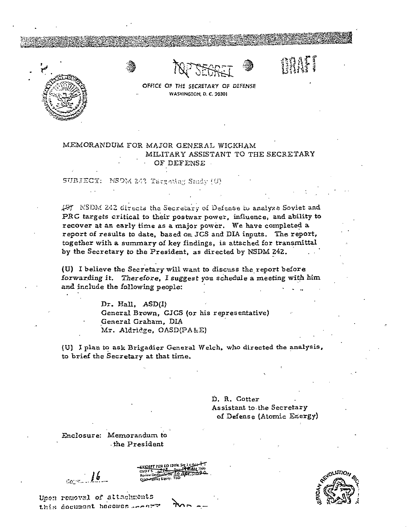



mari



## MEMORANDUM FOR MAJOR GENERAL WICKHAM MILITARY ASSISTANT TO THE SECRETARY OF DEFENSE

SUBJECT: NSDM 242 Targeting Smaly (U)

If NSDM 242 directs the Secretary of Defense to analyze Soviet and PRC targets critical to their postwar power, influence, and ability to recover at an early time as a major power. We have completed a report of results to date, based on JCS and DIA inputs. The report, together with a summary of key findings, is attached for transmittal by the Secretary to the President, as directed by NSDM 242.

(U) I believe the Secretary will want to discuss the report before forwarding it. Therefore, I suggest you schedule a meeting with him and include the following people:

> Dr. Hall, ASD(I) General Brown, GJCS (or his representative) General Graham, DIA Mr. Aldridge, OASD(PA&E)

(U) I plan to ask Brigadier General Welch, who directed the analysis, to brief the Secretary at that time.

> D. R. Cotter Assistant to the Secretary of Defense (Atomic Energy)

Enclosure: Memorandum to the President

 $16$ 

Unon removal of attachments this document becomes seems

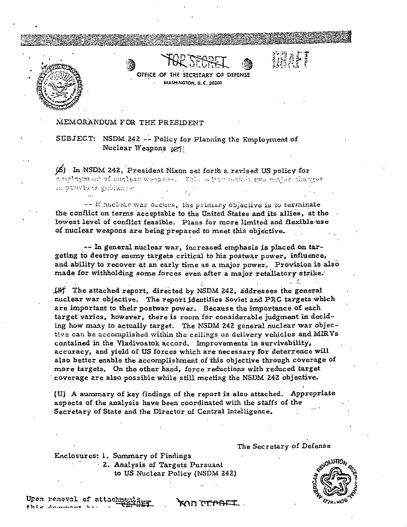

OFFICE OF THE SECRSTARY OF DEFENSE WASHINGTON, D. C. 20301

# WAFI

MEMORANDUM FOR THE PRESIDENT

SUBJECT: NSDM 242 -- Policy for Planning the Employment of Nuclear Weapons (e)

(5) In NSDM 242, President Nixon set forth a revised US policy for doublogon as of muclear weapons. This a live satisfy was mojes changes In Starbuts gathening.

-- If nuclear war occurs, the primary objective is to terminate the conflict on terms acceptable to the United States and its allies, at the lowest level of conflict feasible. Plans for more limited and flexible use of nuclear weapons are being prepared to meet this objective.

-- In general nuclear war, increased emphasis is placed on targeting to destroy enemy targets critical to his postwar power, influence, and ability to recover at an early time as a major power. Provision is also made for withholding some forces even after a major retaliatory strike.

(S) The attached report, directed by NSDM 242, addresses the general nuclear war objective. The report identifies Soviet and PRC targets which are important to their postwar power. Because the importance of each target varies, however, there is room for considerable judgment in deciding how many to actually target. The NSDM 242 general nuclear war objective can be accomplished within the ceilings on delivery vehicles and MIRVs contained in the Vladivostok accord. Improvements in survivability, accuracy, and yield of US forces which are necessary for deterrence will also better enable the accomplishment of this objective through coverage of more targets. On the other hand, force reductions with reduced target coverage are also possible while still meeting the NSDM 242 objective.

(U) A summary of key findings of the report is also attached. Appropriate aspects of the analysis have been coordinated with the staffs of the Secretary of State and the Director of Central Intelligence.

" ב<del>דחימי</del>ת הרא

Enclosures: 1. Summary of Findings 2. Analysis of Targets Pursuant to US Nuclear Policy (NSDM 242)

The Secretary of Defense

Upon removal of attachme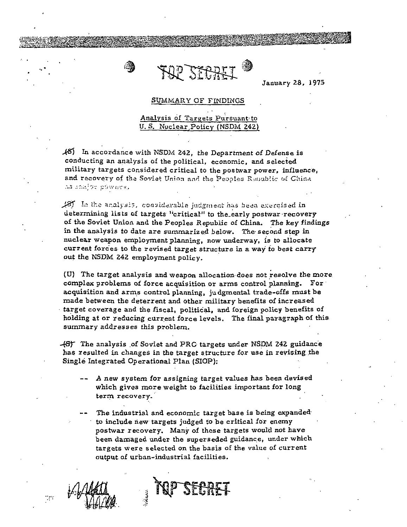

January 28. 1975

#### SUMMARY OF FINDINGS

## Analysis of Targets Pursuant to U.S. Nuclear Policy (NSDM 242)

 $\mathcal{A}$ 5) In accordance with NSDM 242, the Department of Defense is conducting an analysis of the political, economic, and selected military targets considered critical to the postwar power, influence, and recovery of the Soviet Union and the Peoples Republic of China as coater powers.

18) In the analysis, considerable judgment has been exercised in determining lists of targets "critical" to the early postwar recovery of the Soviet Union and the Peoples Republic of China. The key findings in the analysis to date are summarized below. The second step in nuclear weapon employment planning, now underway, is to allocate current forces to the revised target structure in a way to best carry out the NSDM 242 employment policy.

(U) The target analysis and weapon allocation does not resolve the more complex problems of force acquisition or arms control planning. For acquisition and arms control planning, judgmental trade-offs must be made between the deterrent and other military benefits of increased target coverage and the fiscal, political, and foreign policy benefits of holding at or reducing current force levels. The final paragraph of this summary addresses this problem.

48) The analysis of Soviet and PRC targets under NSDM 242 guidance has resulted in changes in the target structure for use in revising the Single Integrated Operational Plan (SIOP):

- A new system for assigning target values has been devised which gives more weight to facilities important for long term recovery.
- The industrial and economic target base is being expanded to include new targets judged to be critical for enemy postwar recovery. Many of these targets would not have been damaged under the superseded guidance, under which targets were selected on the basis of the value of current output of urban-industrial facilities.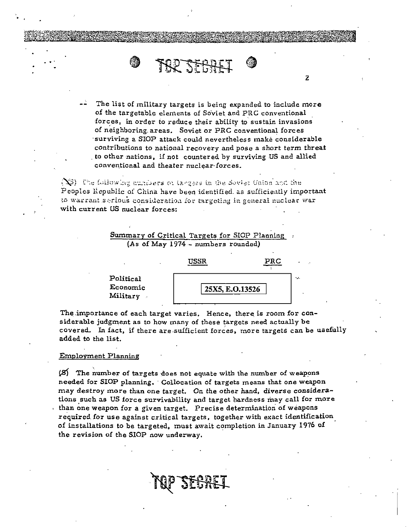

The list of military targets is being expanded to include more of the targetable elements of Soviet and PRC conventional forces, in order to reduce their ability to sustain invasions of neighboring areas. Soviet or PRC conventional forces surviving a SIOP attack could nevertheless make considerable contributions to national recovery and pose a short term threat to other nations, if not countered by surviving US and allied conventional and theater nuclear forces.

 $\overline{2}$ 

 $(\mathbb{N})$  . The following surflows or targers in the Soviet Union and the Peoples Republic of China have been identified as sufficiently important to warrant serious consideration for targeting in general nuclear war with current US nuclear forces:





The importance of each target varies. Hence, there is room for considerable judgment as to how many of these targets need actually be covered. In fact, if there are sufficient forces, more targets can be usefully added to the list.

### **Employment Planning**

(8) The number of targets does not equate with the number of weapons needed for SIOP planning. Collocation of targets means that one weapon may destroy more than one target. On the other hand, diverse considerations such as US force survivability and target hardness may call for more than one weapon for a given target. Precise determination of weapons required for use against critical targets, together with exact identification of installations to be targeted, must await completion in January 1976 of the revision of the SIOP now underway.